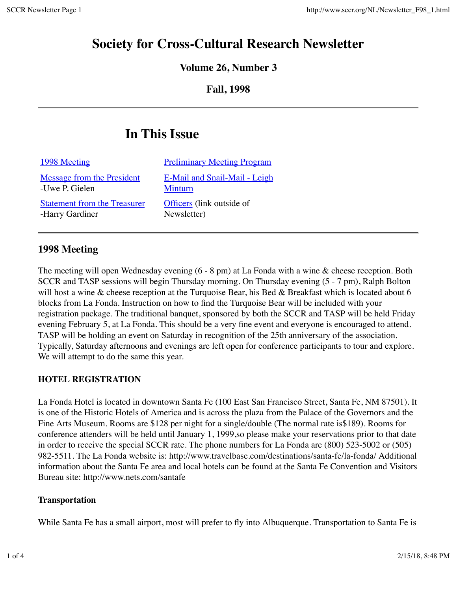## **Society for Cross-Cultural Research Newsletter**

**Volume 26, Number 3**

**Fall, 1998**

# **In This Issue**

| 1998 Meeting                        | <b>Preliminary Meeting Program</b> |
|-------------------------------------|------------------------------------|
| Message from the President          | E-Mail and Snail-Mail - Leigh      |
| -Uwe P. Gielen                      | <b>Minturn</b>                     |
| <b>Statement from the Treasurer</b> | <b>Officers</b> (link outside of   |
| -Harry Gardiner                     | Newsletter)                        |

## **1998 Meeting**

The meeting will open Wednesday evening (6 - 8 pm) at La Fonda with a wine & cheese reception. Both SCCR and TASP sessions will begin Thursday morning. On Thursday evening (5 - 7 pm), Ralph Bolton will host a wine & cheese reception at the Turquoise Bear, his Bed & Breakfast which is located about 6 blocks from La Fonda. Instruction on how to find the Turquoise Bear will be included with your registration package. The traditional banquet, sponsored by both the SCCR and TASP will be held Friday evening February 5, at La Fonda. This should be a very fine event and everyone is encouraged to attend. TASP will be holding an event on Saturday in recognition of the 25th anniversary of the association. Typically, Saturday afternoons and evenings are left open for conference participants to tour and explore. We will attempt to do the same this year.

## **HOTEL REGISTRATION**

La Fonda Hotel is located in downtown Santa Fe (100 East San Francisco Street, Santa Fe, NM 87501). It is one of the Historic Hotels of America and is across the plaza from the Palace of the Governors and the Fine Arts Museum. Rooms are \$128 per night for a single/double (The normal rate is\$189). Rooms for conference attenders will be held until January 1, 1999,so please make your reservations prior to that date in order to receive the special SCCR rate. The phone numbers for La Fonda are (800) 523-5002 or (505) 982-5511. The La Fonda website is: http://www.travelbase.com/destinations/santa-fe/la-fonda/ Additional information about the Santa Fe area and local hotels can be found at the Santa Fe Convention and Visitors Bureau site: http://www.nets.com/santafe

#### **Transportation**

While Santa Fe has a small airport, most will prefer to fly into Albuquerque. Transportation to Santa Fe is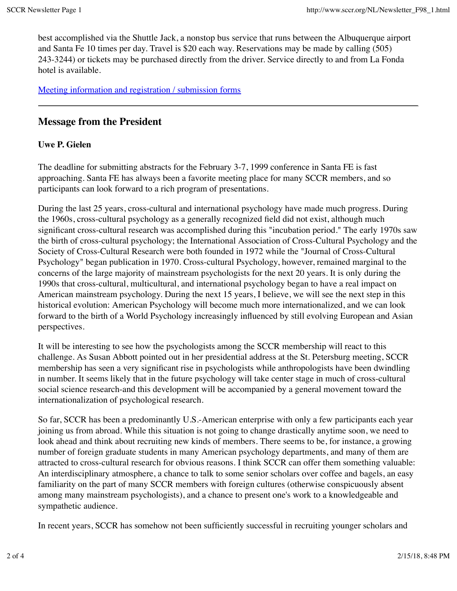best accomplished via the Shuttle Jack, a nonstop bus service that runs between the Albuquerque airport and Santa Fe 10 times per day. Travel is \$20 each way. Reservations may be made by calling (505) 243-3244) or tickets may be purchased directly from the driver. Service directly to and from La Fonda hotel is available.

Meeting information and registration / submission forms

### **Message from the President**

#### **Uwe P. Gielen**

The deadline for submitting abstracts for the February 3-7, 1999 conference in Santa FE is fast approaching. Santa FE has always been a favorite meeting place for many SCCR members, and so participants can look forward to a rich program of presentations.

During the last 25 years, cross-cultural and international psychology have made much progress. During the 1960s, cross-cultural psychology as a generally recognized field did not exist, although much significant cross-cultural research was accomplished during this "incubation period." The early 1970s saw the birth of cross-cultural psychology; the International Association of Cross-Cultural Psychology and the Society of Cross-Cultural Research were both founded in 1972 while the "Journal of Cross-Cultural Psychology" began publication in 1970. Cross-cultural Psychology, however, remained marginal to the concerns of the large majority of mainstream psychologists for the next 20 years. It is only during the 1990s that cross-cultural, multicultural, and international psychology began to have a real impact on American mainstream psychology. During the next 15 years, I believe, we will see the next step in this historical evolution: American Psychology will become much more internationalized, and we can look forward to the birth of a World Psychology increasingly influenced by still evolving European and Asian perspectives.

It will be interesting to see how the psychologists among the SCCR membership will react to this challenge. As Susan Abbott pointed out in her presidential address at the St. Petersburg meeting, SCCR membership has seen a very significant rise in psychologists while anthropologists have been dwindling in number. It seems likely that in the future psychology will take center stage in much of cross-cultural social science research-and this development will be accompanied by a general movement toward the internationalization of psychological research.

So far, SCCR has been a predominantly U.S.-American enterprise with only a few participants each year joining us from abroad. While this situation is not going to change drastically anytime soon, we need to look ahead and think about recruiting new kinds of members. There seems to be, for instance, a growing number of foreign graduate students in many American psychology departments, and many of them are attracted to cross-cultural research for obvious reasons. I think SCCR can offer them something valuable: An interdisciplinary atmosphere, a chance to talk to some senior scholars over coffee and bagels, an easy familiarity on the part of many SCCR members with foreign cultures (otherwise conspicuously absent among many mainstream psychologists), and a chance to present one's work to a knowledgeable and sympathetic audience.

In recent years, SCCR has somehow not been sufficiently successful in recruiting younger scholars and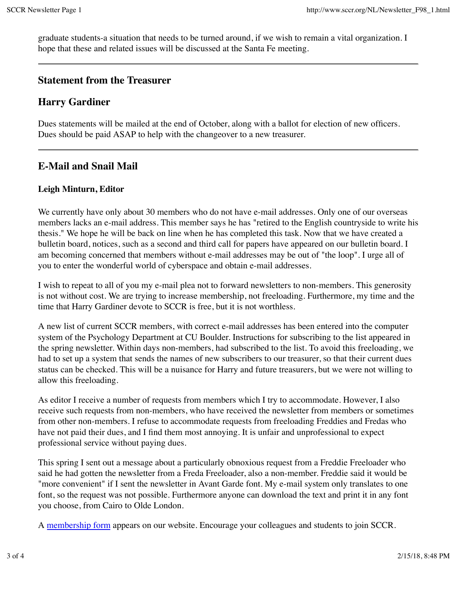graduate students-a situation that needs to be turned around, if we wish to remain a vital organization. I hope that these and related issues will be discussed at the Santa Fe meeting.

#### **Statement from the Treasurer**

## **Harry Gardiner**

Dues statements will be mailed at the end of October, along with a ballot for election of new officers. Dues should be paid ASAP to help with the changeover to a new treasurer.

## **E-Mail and Snail Mail**

#### **Leigh Minturn, Editor**

We currently have only about 30 members who do not have e-mail addresses. Only one of our overseas members lacks an e-mail address. This member says he has "retired to the English countryside to write his thesis." We hope he will be back on line when he has completed this task. Now that we have created a bulletin board, notices, such as a second and third call for papers have appeared on our bulletin board. I am becoming concerned that members without e-mail addresses may be out of "the loop". I urge all of you to enter the wonderful world of cyberspace and obtain e-mail addresses.

I wish to repeat to all of you my e-mail plea not to forward newsletters to non-members. This generosity is not without cost. We are trying to increase membership, not freeloading. Furthermore, my time and the time that Harry Gardiner devote to SCCR is free, but it is not worthless.

A new list of current SCCR members, with correct e-mail addresses has been entered into the computer system of the Psychology Department at CU Boulder. Instructions for subscribing to the list appeared in the spring newsletter. Within days non-members, had subscribed to the list. To avoid this freeloading, we had to set up a system that sends the names of new subscribers to our treasurer, so that their current dues status can be checked. This will be a nuisance for Harry and future treasurers, but we were not willing to allow this freeloading.

As editor I receive a number of requests from members which I try to accommodate. However, I also receive such requests from non-members, who have received the newsletter from members or sometimes from other non-members. I refuse to accommodate requests from freeloading Freddies and Fredas who have not paid their dues, and I find them most annoying. It is unfair and unprofessional to expect professional service without paying dues.

This spring I sent out a message about a particularly obnoxious request from a Freddie Freeloader who said he had gotten the newsletter from a Freda Freeloader, also a non-member. Freddie said it would be "more convenient" if I sent the newsletter in Avant Garde font. My e-mail system only translates to one font, so the request was not possible. Furthermore anyone can download the text and print it in any font you choose, from Cairo to Olde London.

A membership form appears on our website. Encourage your colleagues and students to join SCCR.